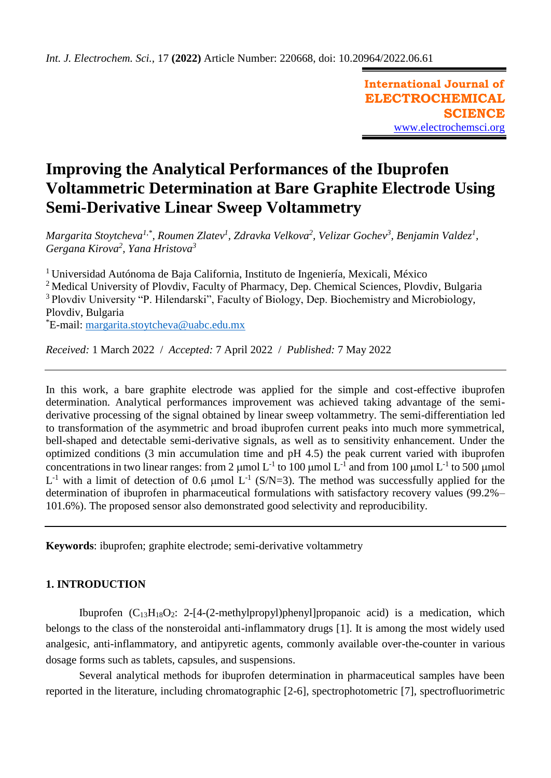**International Journal of ELECTROCHEMICAL SCIENCE** [www.electrochemsci.org](http://www.electrochemsci.org/)

# **Improving the Analytical Performances of the Ibuprofen Voltammetric Determination at Bare Graphite Electrode Using Semi-Derivative Linear Sweep Voltammetry**

*Margarita Stoytcheva1,\*, Roumen Zlatev<sup>1</sup> , Zdravka Velkova<sup>2</sup> , Velizar Gochev<sup>3</sup> , Benjamin Valdez<sup>1</sup> , Gergana Kirova<sup>2</sup> , Yana Hristova<sup>3</sup>*

<sup>1</sup>Universidad Autónoma de Baja California, Instituto de Ingeniería, Mexicali, México <sup>2</sup> Medical University of Plovdiv, Faculty of Pharmacy, Dep. Chemical Sciences, Plovdiv, Bulgaria <sup>3</sup> Plovdiv University "P. Hilendarski", Faculty of Biology, Dep. Biochemistry and Microbiology, Plovdiv, Bulgaria \*E-mail: [margarita.stoytcheva@uabc.edu.mx](mailto:margarita.stoytcheva@uabc.edu.mx)

*Received:* 1 March 2022/ *Accepted:* 7 April 2022 / *Published:* 7 May 2022

In this work, a bare graphite electrode was applied for the simple and cost-effective ibuprofen determination. Analytical performances improvement was achieved taking advantage of the semiderivative processing of the signal obtained by linear sweep voltammetry. The semi-differentiation led to transformation of the asymmetric and broad ibuprofen current peaks into much more symmetrical, bell-shaped and detectable semi-derivative signals, as well as to sensitivity enhancement. Under the optimized conditions (3 min accumulation time and pH 4.5) the peak current varied with ibuprofen concentrations in two linear ranges: from 2  $\mu$ mol L<sup>-1</sup> to 100  $\mu$ mol L<sup>-1</sup> and from 100  $\mu$ mol L<sup>-1</sup> to 500  $\mu$ mol  $L^{-1}$  with a limit of detection of 0.6 µmol  $L^{-1}$  (S/N=3). The method was successfully applied for the determination of ibuprofen in pharmaceutical formulations with satisfactory recovery values (99.2%– 101.6%). The proposed sensor also demonstrated good selectivity and reproducibility.

**Keywords**: ibuprofen; graphite electrode; semi-derivative voltammetry

# **1. INTRODUCTION**

Ibuprofen  $(C_{13}H_{18}O_2$ : 2-[4-(2-methylpropyl)phenyl]propanoic acid) is a medication, which belongs to the class of the nonsteroidal anti-inflammatory drugs [1]. It is among the most widely used analgesic, anti-inflammatory, and antipyretic agents, commonly available over-the-counter in various dosage forms such as tablets, capsules, and suspensions.

Several analytical methods for ibuprofen determination in pharmaceutical samples have been reported in the literature, including chromatographic [2-6], spectrophotometric [7], spectrofluorimetric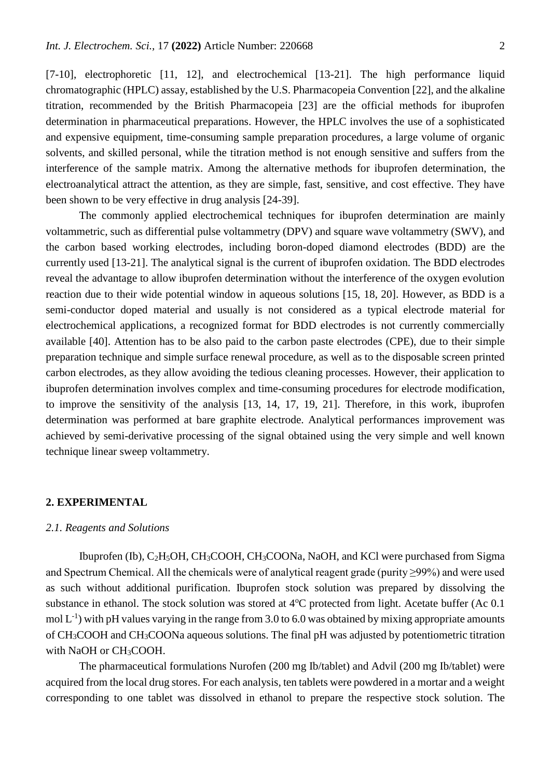[7-10], electrophoretic [11, 12], and electrochemical [13-21]. The high performance liquid chromatographic (HPLC) assay, established by the U.S. Pharmacopeia Convention [22], and the alkaline titration, recommended by the British Pharmacopeia [23] are the official methods for ibuprofen determination in pharmaceutical preparations. However, the HPLC involves the use of a sophisticated and expensive equipment, time-consuming sample preparation procedures, a large volume of organic solvents, and skilled personal, while the titration method is not enough sensitive and suffers from the interference of the sample matrix. Among the alternative methods for ibuprofen determination, the electroanalytical attract the attention, as they are simple, fast, sensitive, and cost effective. They have been shown to be very effective in drug analysis [24-39].

The commonly applied electrochemical techniques for ibuprofen determination are mainly voltammetric, such as differential pulse voltammetry (DPV) and square wave voltammetry (SWV), and the carbon based working electrodes, including boron-doped diamond electrodes (BDD) are the currently used [13-21]. The analytical signal is the current of ibuprofen oxidation. The BDD electrodes reveal the advantage to allow ibuprofen determination without the interference of the oxygen evolution reaction due to their wide potential window in aqueous solutions [15, 18, 20]. However, as BDD is a semi-conductor doped material and usually is not considered as a typical electrode material for electrochemical applications, a recognized format for BDD electrodes is not currently commercially available [40]. Attention has to be also paid to the carbon paste electrodes (CPE), due to their simple preparation technique and simple surface renewal procedure, as well as to the disposable screen printed carbon electrodes, as they allow avoiding the tedious cleaning processes. However, their application to ibuprofen determination involves complex and time-consuming procedures for electrode modification, to improve the sensitivity of the analysis [13, 14, 17, 19, 21]. Therefore, in this work, ibuprofen determination was performed at bare graphite electrode. Analytical performances improvement was achieved by semi-derivative processing of the signal obtained using the very simple and well known technique linear sweep voltammetry.

## **2. EXPERIMENTAL**

### *2.1. Reagents and Solutions*

Ibuprofen (Ib), C<sub>2</sub>H<sub>5</sub>OH, CH<sub>3</sub>COOH, CH<sub>3</sub>COONa, NaOH, and KCl were purchased from Sigma and Spectrum Chemical. All the chemicals were of analytical reagent grade (purity ≥99%) and were used as such without additional purification. Ibuprofen stock solution was prepared by dissolving the substance in ethanol. The stock solution was stored at  $4^{\circ}$ C protected from light. Acetate buffer (Ac 0.1) mol  $L^{-1}$ ) with pH values varying in the range from 3.0 to 6.0 was obtained by mixing appropriate amounts of CH3COOH and CH3COONa aqueous solutions. The final pH was adjusted by potentiometric titration with NaOH or CH<sub>3</sub>COOH.

The pharmaceutical formulations Nurofen (200 mg Ib/tablet) and Advil (200 mg Ib/tablet) were acquired from the local drug stores. For each analysis, ten tablets were powdered in a mortar and a weight corresponding to one tablet was dissolved in ethanol to prepare the respective stock solution. The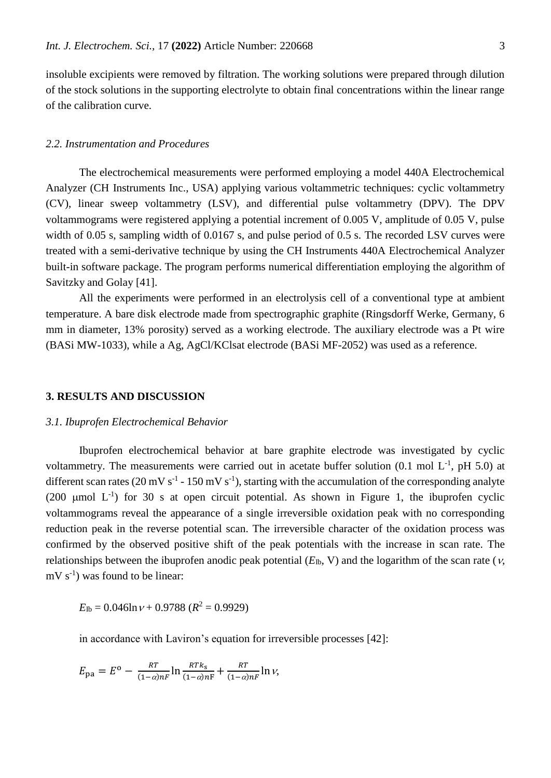insoluble excipients were removed by filtration. The working solutions were prepared through dilution of the stock solutions in the supporting electrolyte to obtain final concentrations within the linear range of the calibration curve.

# *2.2. Instrumentation and Procedures*

The electrochemical measurements were performed employing a model 440A Electrochemical Analyzer (CH Instruments Inc., USA) applying various voltammetric techniques: cyclic voltammetry (CV), linear sweep voltammetry (LSV), and differential pulse voltammetry (DPV). The DPV voltammograms were registered applying a potential increment of 0.005 V, amplitude of 0.05 V, pulse width of 0.05 s, sampling width of 0.0167 s, and pulse period of 0.5 s. The recorded LSV curves were treated with a semi-derivative technique by using the CH Instruments 440A Electrochemical Analyzer built-in software package. The program performs numerical differentiation employing the algorithm of Savitzky and Golay [41].

All the experiments were performed in an electrolysis cell of a conventional type at ambient temperature. A bare disk electrode made from spectrographic graphite (Ringsdorff Werke, Germany, 6 mm in diameter, 13% porosity) served as a working electrode. The auxiliary electrode was a Pt wire (BASi MW-1033), while a Ag, AgCl/KClsat electrode (BASi MF-2052) was used as a reference.

## **3. RESULTS AND DISCUSSION**

### *3.1. Ibuprofen Electrochemical Behavior*

Ibuprofen electrochemical behavior at bare graphite electrode was investigated by cyclic voltammetry. The measurements were carried out in acetate buffer solution  $(0.1 \text{ mol } L^{-1}$ , pH 5.0) at different scan rates (20 mV s<sup>-1</sup> - 150 mV s<sup>-1</sup>), starting with the accumulation of the corresponding analyte (200  $\mu$ mol L<sup>-1</sup>) for 30 s at open circuit potential. As shown in Figure 1, the ibuprofen cyclic voltammograms reveal the appearance of a single irreversible oxidation peak with no corresponding reduction peak in the reverse potential scan. The irreversible character of the oxidation process was confirmed by the observed positive shift of the peak potentials with the increase in scan rate. The relationships between the ibuprofen anodic peak potential  $(E_{\text{lb}} , V)$  and the logarithm of the scan rate ( $v$ ,  $mV s^{-1}$ ) was found to be linear:

 $E_{\text{lb}} = 0.046 \ln \nu + 0.9788$  ( $R^2 = 0.9929$ )

in accordance with Laviron's equation for irreversible processes [42]:

$$
E_{\rm pa} = E^{\rm o} - \frac{RT}{(1-\alpha)nF} \ln \frac{RTk_s}{(1-\alpha)nF} + \frac{RT}{(1-\alpha)nF} \ln \nu,
$$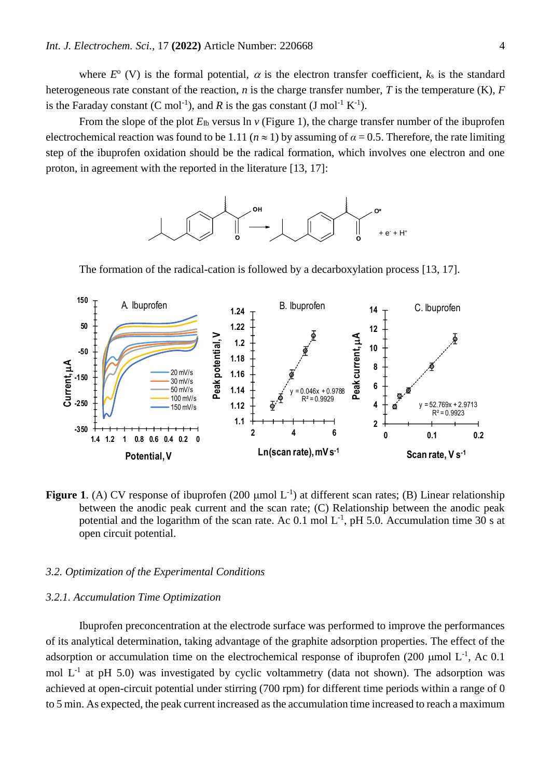where  $E^{\circ}$  (V) is the formal potential,  $\alpha$  is the electron transfer coefficient,  $k_s$  is the standard heterogeneous rate constant of the reaction, *n* is the charge transfer number, *T* is the temperature (K), *F* is the Faraday constant  $(C \text{ mol}^{-1})$ , and R is the gas constant  $(J \text{ mol}^{-1} K^{-1})$ .

From the slope of the plot  $E_{\text{lb}}$  versus ln *v* (Figure 1), the charge transfer number of the ibuprofen electrochemical reaction was found to be 1.11 ( $n \approx 1$ ) by assuming of  $\alpha = 0.5$ . Therefore, the rate limiting step of the ibuprofen oxidation should be the radical formation, which involves one electron and one proton, in agreement with the reported in the literature [13, 17]:



The formation of the radical-cation is followed by a decarboxylation process [13, 17].



**Figure 1.** (A) CV response of ibuprofen (200  $\mu$ mol L<sup>-1</sup>) at different scan rates; (B) Linear relationship between the anodic peak current and the scan rate; (C) Relationship between the anodic peak potential and the logarithm of the scan rate. Ac  $0.1$  mol  $L^{-1}$ , pH 5.0. Accumulation time 30 s at open circuit potential.

# *3.2. Optimization of the Experimental Conditions*

#### *3.2.1. Accumulation Time Optimization*

Ibuprofen preconcentration at the electrode surface was performed to improve the performances of its analytical determination, taking advantage of the graphite adsorption properties. The effect of the adsorption or accumulation time on the electrochemical response of ibuprofen (200 µmol  $L^{-1}$ , Ac 0.1 mol  $L^{-1}$  at pH 5.0) was investigated by cyclic voltammetry (data not shown). The adsorption was achieved at open-circuit potential under stirring (700 rpm) for different time periods within a range of 0 to 5 min. As expected, the peak current increased as the accumulation time increased to reach a maximum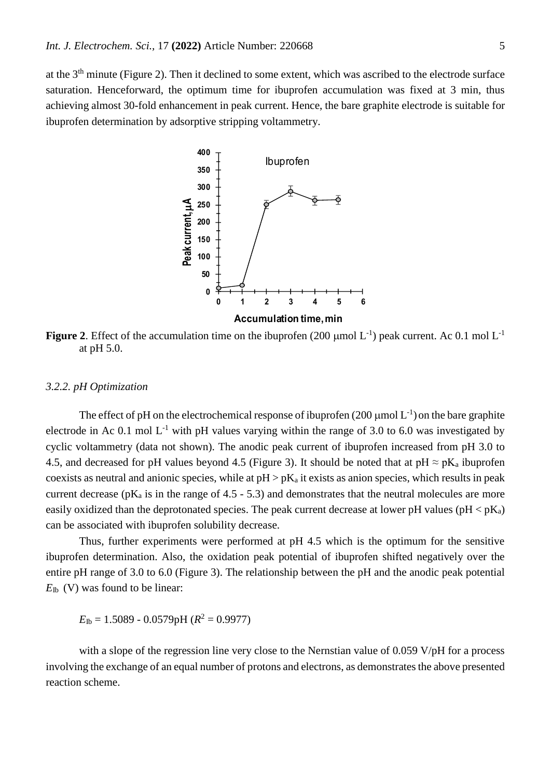at the 3th minute (Figure 2). Then it declined to some extent, which was ascribed to the electrode surface saturation. Henceforward, the optimum time for ibuprofen accumulation was fixed at 3 min, thus achieving almost 30-fold enhancement in peak current. Hence, the bare graphite electrode is suitable for ibuprofen determination by adsorptive stripping voltammetry.



**Figure 2.** Effect of the accumulation time on the ibuprofen (200  $\mu$ mol L<sup>-1</sup>) peak current. Ac 0.1 mol L<sup>-1</sup> at pH 5.0.

#### *3.2.2. pH Optimization*

The effect of pH on the electrochemical response of ibuprofen  $(200 \mu \text{mol L}^{-1})$  on the bare graphite electrode in Ac 0.1 mol  $L^{-1}$  with pH values varying within the range of 3.0 to 6.0 was investigated by cyclic voltammetry (data not shown). The anodic peak current of ibuprofen increased from pH 3.0 to 4.5, and decreased for pH values beyond 4.5 (Figure 3). It should be noted that at pH  $\approx$  pK<sub>a</sub> ibuprofen coexists as neutral and anionic species, while at  $pH > pK_a$  it exists as anion species, which results in peak current decrease ( $pK_a$  is in the range of 4.5 - 5.3) and demonstrates that the neutral molecules are more easily oxidized than the deprotonated species. The peak current decrease at lower pH values ( $pH < pK_a$ ) can be associated with ibuprofen solubility decrease.

Thus, further experiments were performed at pH 4.5 which is the optimum for the sensitive ibuprofen determination. Also, the oxidation peak potential of ibuprofen shifted negatively over the entire pH range of 3.0 to 6.0 (Figure 3). The relationship between the pH and the anodic peak potential *E*Ib (V) was found to be linear:

 $E_{\text{lb}} = 1.5089 - 0.0579 \text{pH}$  ( $R^2 = 0.9977$ )

with a slope of the regression line very close to the Nernstian value of 0.059 V/pH for a process involving the exchange of an equal number of protons and electrons, as demonstrates the above presented reaction scheme.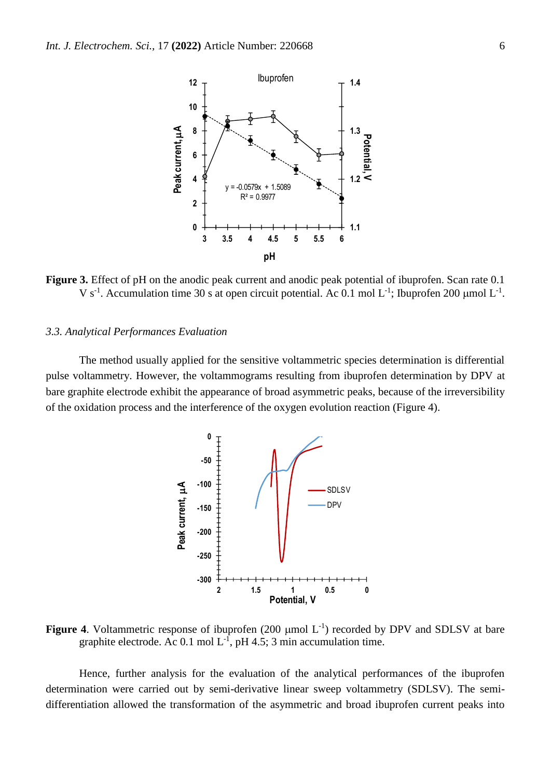

**Figure 3.** Effect of pH on the anodic peak current and anodic peak potential of ibuprofen. Scan rate 0.1 V s<sup>-1</sup>. Accumulation time 30 s at open circuit potential. Ac 0.1 mol L<sup>-1</sup>; Ibuprofen 200 µmol L<sup>-1</sup>.

## *3.3. Analytical Performances Evaluation*

The method usually applied for the sensitive voltammetric species determination is differential pulse voltammetry. However, the voltammograms resulting from ibuprofen determination by DPV at bare graphite electrode exhibit the appearance of broad asymmetric peaks, because of the irreversibility of the oxidation process and the interference of the oxygen evolution reaction (Figure 4).



**Figure 4.** Voltammetric response of ibuprofen  $(200 \mu mol L^{-1})$  recorded by DPV and SDLSV at bare graphite electrode. Ac 0.1 mol  $L^{-1}$ , pH 4.5; 3 min accumulation time.

Hence, further analysis for the evaluation of the analytical performances of the ibuprofen determination were carried out by semi-derivative linear sweep voltammetry (SDLSV). The semidifferentiation allowed the transformation of the asymmetric and broad ibuprofen current peaks into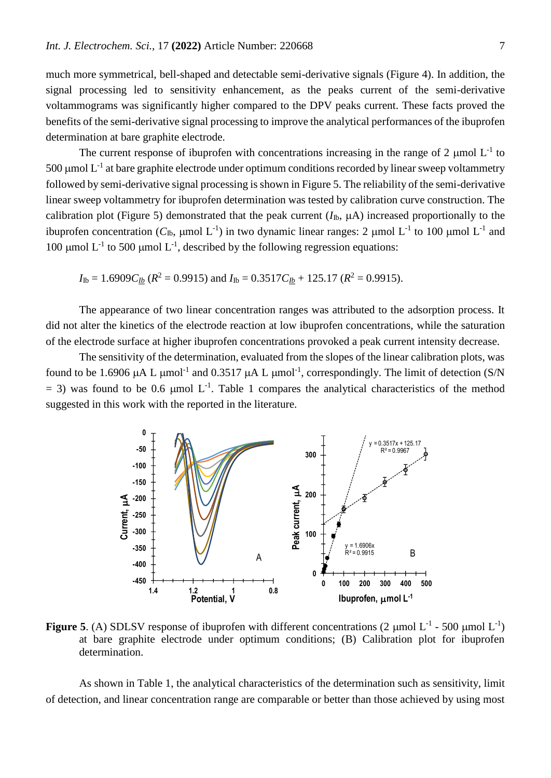much more symmetrical, bell-shaped and detectable semi-derivative signals (Figure 4). In addition, the signal processing led to sensitivity enhancement, as the peaks current of the semi-derivative voltammograms was significantly higher compared to the DPV peaks current. These facts proved the benefits of the semi-derivative signal processing to improve the analytical performances of the ibuprofen determination at bare graphite electrode.

The current response of ibuprofen with concentrations increasing in the range of 2  $\mu$ mol L<sup>-1</sup> to 500  $\mu$ mol L<sup>-1</sup> at bare graphite electrode under optimum conditions recorded by linear sweep voltammetry followed by semi-derivative signal processing is shown in Figure 5. The reliability of the semi-derivative linear sweep voltammetry for ibuprofen determination was tested by calibration curve construction. The calibration plot (Figure 5) demonstrated that the peak current  $(I_{\text{lb}}$ ,  $\mu$ A) increased proportionally to the ibuprofen concentration ( $C_{\text{lb}}$ , µmol L<sup>-1</sup>) in two dynamic linear ranges: 2 µmol L<sup>-1</sup> to 100 µmol L<sup>-1</sup> and 100 µmol  $L^{-1}$  to 500 µmol  $L^{-1}$ , described by the following regression equations:

 $I_{\text{lb}} = 1.6909 C_{\text{lb}} (R^2 = 0.9915)$  and  $I_{\text{lb}} = 0.3517 C_{\text{lb}} + 125.17 (R^2 = 0.9915)$ .

The appearance of two linear concentration ranges was attributed to the adsorption process. It did not alter the kinetics of the electrode reaction at low ibuprofen concentrations, while the saturation of the electrode surface at higher ibuprofen concentrations provoked a peak current intensity decrease.

The sensitivity of the determination, evaluated from the slopes of the linear calibration plots, was found to be 1.6906  $\mu$ A L  $\mu$ mol<sup>-1</sup> and 0.3517  $\mu$ A L  $\mu$ mol<sup>-1</sup>, correspondingly. The limit of detection (S/N  $=$  3) was found to be 0.6 µmol L<sup>-1</sup>. Table 1 compares the analytical characteristics of the method suggested in this work with the reported in the literature.



**Figure 5.** (A) SDLSV response of ibuprofen with different concentrations (2  $\mu$ mol L<sup>-1</sup> - 500  $\mu$ mol L<sup>-1</sup>) at bare graphite electrode under optimum conditions; (B) Calibration plot for ibuprofen determination.

As shown in Table 1, the analytical characteristics of the determination such as sensitivity, limit of detection, and linear concentration range are comparable or better than those achieved by using most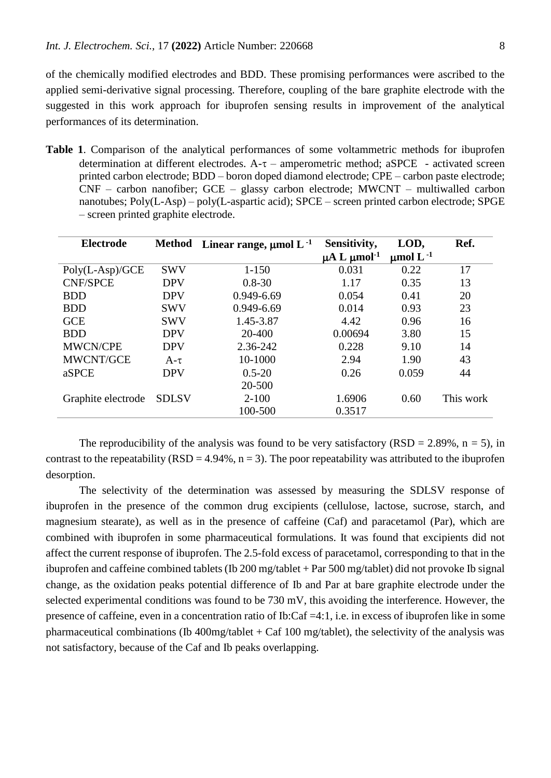of the chemically modified electrodes and BDD. These promising performances were ascribed to the applied semi-derivative signal processing. Therefore, coupling of the bare graphite electrode with the suggested in this work approach for ibuprofen sensing results in improvement of the analytical performances of its determination.

**Table 1**. Comparison of the analytical performances of some voltammetric methods for ibuprofen determination at different electrodes.  $A-\tau$  – amperometric method; aSPCE - activated screen printed carbon electrode; BDD – boron doped diamond electrode; CPE – carbon paste electrode; CNF – carbon nanofiber; GCE – glassy carbon electrode; MWCNT – multiwalled carbon nanotubes; Poly(L-Asp) – poly(L-aspartic acid); SPCE – screen printed carbon electrode; SPGE – screen printed graphite electrode.

| <b>Electrode</b>   | Method       | Linear range, $\mu$ mol L <sup>-1</sup> | Sensitivity,                      | LOD,                      | Ref.      |
|--------------------|--------------|-----------------------------------------|-----------------------------------|---------------------------|-----------|
|                    |              |                                         | $\mu$ A L $\mu$ mol <sup>-1</sup> | $\mu$ mol L <sup>-1</sup> |           |
| $Poly(L-Asp)/GCE$  | <b>SWV</b>   | $1 - 150$                               | 0.031                             | 0.22                      | 17        |
| <b>CNF/SPCE</b>    | <b>DPV</b>   | $0.8 - 30$                              | 1.17                              | 0.35                      | 13        |
| <b>BDD</b>         | <b>DPV</b>   | 0.949-6.69                              | 0.054                             | 0.41                      | 20        |
| <b>BDD</b>         | <b>SWV</b>   | 0.949-6.69                              | 0.014                             | 0.93                      | 23        |
| <b>GCE</b>         | <b>SWV</b>   | 1.45-3.87                               | 4.42                              | 0.96                      | 16        |
| <b>BDD</b>         | <b>DPV</b>   | 20-400                                  | 0.00694                           | 3.80                      | 15        |
| <b>MWCN/CPE</b>    | <b>DPV</b>   | 2.36-242                                | 0.228                             | 9.10                      | 14        |
| <b>MWCNT/GCE</b>   | $A-\tau$     | 10-1000                                 | 2.94                              | 1.90                      | 43        |
| aSPCE              | <b>DPV</b>   | $0.5 - 20$                              | 0.26                              | 0.059                     | 44        |
|                    |              | 20-500                                  |                                   |                           |           |
| Graphite electrode | <b>SDLSV</b> | $2 - 100$                               | 1.6906                            | 0.60                      | This work |
|                    |              | 100-500                                 | 0.3517                            |                           |           |

The reproducibility of the analysis was found to be very satisfactory (RSD = 2.89%,  $n = 5$ ), in contrast to the repeatability ( $RSD = 4.94\%$ ,  $n = 3$ ). The poor repeatability was attributed to the ibuprofen desorption.

The selectivity of the determination was assessed by measuring the SDLSV response of ibuprofen in the presence of the common drug excipients (cellulose, lactose, sucrose, starch, and magnesium stearate), as well as in the presence of caffeine (Caf) and paracetamol (Par), which are combined with ibuprofen in some pharmaceutical formulations. It was found that excipients did not affect the current response of ibuprofen. The 2.5-fold excess of paracetamol, corresponding to that in the ibuprofen and caffeine combined tablets (Ib 200 mg/tablet + Par 500 mg/tablet) did not provoke Ib signal change, as the oxidation peaks potential difference of Ib and Par at bare graphite electrode under the selected experimental conditions was found to be 730 mV, this avoiding the interference. However, the presence of caffeine, even in a concentration ratio of Ib:Caf =4:1, i.e. in excess of ibuprofen like in some pharmaceutical combinations (Ib  $400$ mg/tablet + Caf 100 mg/tablet), the selectivity of the analysis was not satisfactory, because of the Caf and Ib peaks overlapping.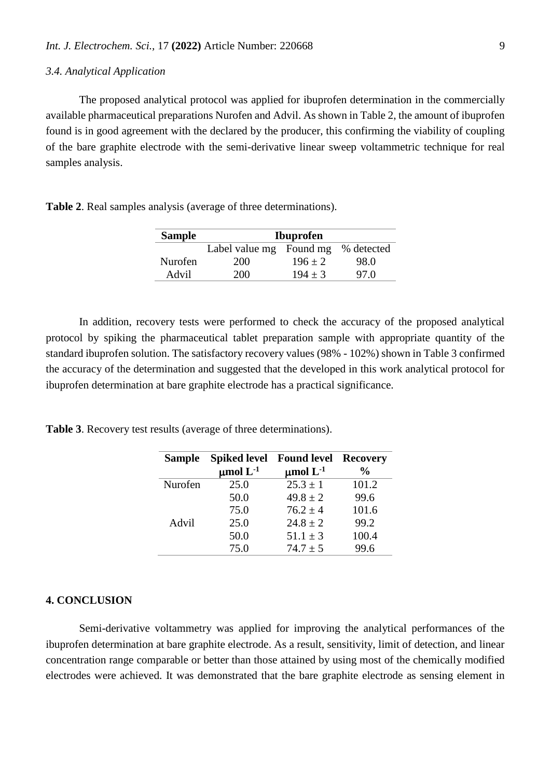# *3.4. Analytical Application*

The proposed analytical protocol was applied for ibuprofen determination in the commercially available pharmaceutical preparations Nurofen and Advil. As shown in Table 2, the amount of ibuprofen found is in good agreement with the declared by the producer, this confirming the viability of coupling of the bare graphite electrode with the semi-derivative linear sweep voltammetric technique for real samples analysis.

**Table 2**. Real samples analysis (average of three determinations).

| <b>Sample</b> | <b>Ibuprofen</b>        |           |            |  |  |
|---------------|-------------------------|-----------|------------|--|--|
|               | Label value mg Found mg |           | % detected |  |  |
| Nurofen       | 200                     | $196 + 2$ | 98.0       |  |  |
| Advil         | 200                     | $194 + 3$ | 97.0       |  |  |

In addition, recovery tests were performed to check the accuracy of the proposed analytical protocol by spiking the pharmaceutical tablet preparation sample with appropriate quantity of the standard ibuprofen solution. The satisfactory recovery values (98% - 102%) shown in Table 3 confirmed the accuracy of the determination and suggested that the developed in this work analytical protocol for ibuprofen determination at bare graphite electrode has a practical significance.

**Table 3**. Recovery test results (average of three determinations).

| <b>Sample</b> | <b>Spiked level</b> | <b>Found level</b> | <b>Recovery</b> |
|---------------|---------------------|--------------------|-----------------|
|               | $\mu$ mol $L^{-1}$  | $\mu$ mol $L^{-1}$ | $\%$            |
| Nurofen       | 25.0                | $25.3 \pm 1$       | 101.2           |
|               | 50.0                | $49.8 \pm 2$       | 99.6            |
|               | 75.0                | $76.2 \pm 4$       | 101.6           |
| Advil         | 25.0                | $24.8 \pm 2$       | 99.2            |
|               | 50.0                | $51.1 \pm 3$       | 100.4           |
|               | 75.0                | $74.7 \pm 5$       | 99.6            |

## **4. CONCLUSION**

Semi-derivative voltammetry was applied for improving the analytical performances of the ibuprofen determination at bare graphite electrode. As a result, sensitivity, limit of detection, and linear concentration range comparable or better than those attained by using most of the chemically modified electrodes were achieved. It was demonstrated that the bare graphite electrode as sensing element in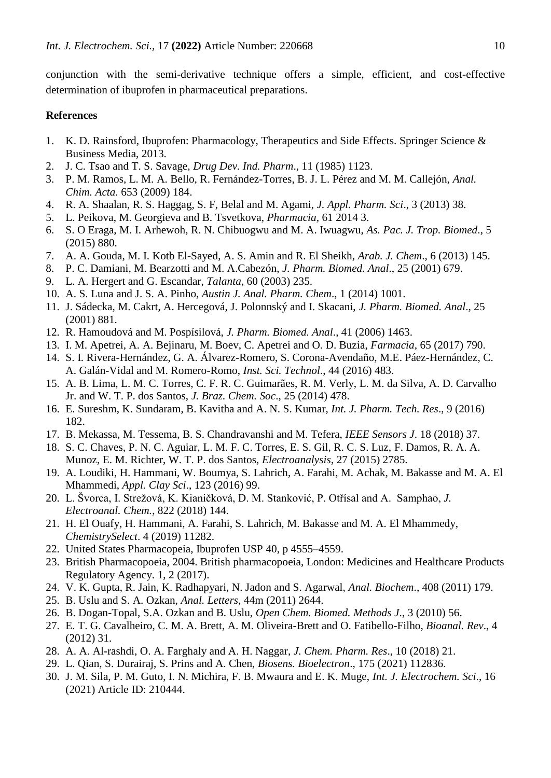conjunction with the semi-derivative technique offers a simple, efficient, and cost-effective determination of ibuprofen in pharmaceutical preparations.

# **References**

- 1. K. D. Rainsford, Ibuprofen: Pharmacology, Therapeutics and Side Effects. Springer Science & Business Media, 2013.
- 2. J. C. Tsao and T. S. Savage, *Drug Dev. Ind. Pharm*., 11 (1985) 1123.
- 3. P. M. Ramos, L. M. A. Bello, R. Fernández-Torres, B. J. L. Pérez and M. M. Callejón, *Anal. Chim. Acta.* 653 (2009) 184.
- 4. R. A. Shaalan, R. S. Haggag, S. F, Belal and M. Agami, *J. Appl. Pharm. Sci*., 3 (2013) 38.
- 5. L. Peikova, M. Georgieva and B. Tsvetkova, *Pharmacia,* 61 2014 3.
- 6. S. O Eraga, M. I. Arhewoh, R. N. Chibuogwu and M. A. Iwuagwu, *As. Pac. J. Trop. Biomed*., 5 (2015) 880.
- 7. A. A. Gouda, M. I. Kotb El-Sayed, A. S. Amin and R. El Sheikh, *Arab. J. Chem*., 6 (2013) 145.
- 8. P. C. Damiani, M. Bearzotti and M. A.Cabezón, *J. Pharm. Biomed. Anal*., 25 (2001) 679.
- 9. L. A. Hergert and G. Escandar, *Talanta*, 60 (2003) 235.
- 10. A. S. Luna and J. S. A. Pinho, *Austin J. Anal. Pharm. Chem*., 1 (2014) 1001.
- 11. J. Sádecka, M. Cakrt, A. Hercegová, J. Polonnský and I. Skacani, *J. Pharm. Biomed. Anal*., 25 (2001) 881.
- 12. R. Hamoudová and M. Pospísilová, *J. Pharm. Biomed. Anal*., 41 (2006) 1463.
- 13. I. M. Apetrei, A. A. Bejinaru, M. Boev, C. Apetrei and O. D. Buzia, *Farmacia*, 65 (2017) 790.
- 14. S. I. Rivera-Hernández, G. A. Álvarez-Romero, S. Corona-Avendaño, M.E. Páez-Hernández, C. A. Galán-Vidal and M. Romero-Romo, *Inst. Sci. Technol*., 44 (2016) 483.
- 15. A. B. Lima, L. M. C. Torres, C. F. R. C. Guimarães, R. M. Verly, L. M. da Silva, A. D. Carvalho Jr. and W. T. P. dos Santos, *J. Braz. Chem. Soc*., 25 (2014) 478.
- 16. E. Sureshm, K. Sundaram, B. Kavitha and A. N. S. Kumar, *Int. J. Pharm. Tech. Res*., 9 (2016) 182.
- 17. B. Mekassa, M. Tessema, B. S. Chandravanshi and M. Tefera, *IEEE Sensors J*. 18 (2018) 37.
- 18. S. C. Chaves, P. N. C. Aguiar, L. M. F. C. Torres, E. S. Gil, R. C. S. Luz, F. Damos, R. A. A. Munoz, E. M. Richter, W. T. P. dos Santos, *Electroanalysis*, 27 (2015) 2785.
- 19. A. Loudiki, H. Hammani, W. Boumya, S. Lahrich, A. Farahi, M. Achak, M. Bakasse and M. A. El Mhammedi, *Appl. Clay Sci*., 123 (2016) 99.
- 20. L. Švorca, I. Strežová, K. Kianičková, D. M. Stanković, P. Otřísal and A. Samphao, *J. Electroanal. Chem.*, 822 (2018) 144.
- 21. H. El Ouafy, H. Hammani, A. Farahi, S. Lahrich, M. Bakasse and M. A. El Mhammedy, *ChemistrySelect*. 4 (2019) 11282.
- 22. United States Pharmacopeia, Ibuprofen USP 40, p 4555–4559.
- 23. British Pharmacopoeia, 2004. British pharmacopoeia, London: Medicines and Healthcare Products Regulatory Agency. 1, 2 (2017).
- 24. V. K. Gupta, R. Jain, K. Radhapyari, N. Jadon and S. Agarwal, *Anal. Biochem*., 408 (2011) 179.
- 25. B. Uslu and S. A. Ozkan, *Anal. Letters*, 44m (2011) 2644.
- 26. B. Dogan-Topal, S.A. Ozkan and B. Uslu, *Open Chem. Biomed. Methods J*., 3 (2010) 56.
- 27. E. T. G. Cavalheiro, C. M. A. Brett, A. M. Oliveira-Brett and O. Fatibello-Filho, *Bioanal. Rev*., 4 (2012) 31.
- 28. A. A. Al-rashdi, O. A. Farghaly and A. H. Naggar, *J. Chem. Pharm. Res*., 10 (2018) 21.
- 29. L. Qian, S. Durairaj, S. Prins and A. Chen, *Biosens. Bioelectron*., 175 (2021) 112836.
- 30. J. M. Sila, P. M. Guto, I. N. Michira, F. B. Mwaura and E. K. Muge, *Int. J. Electrochem. Sci*., 16 (2021) Article ID: 210444.